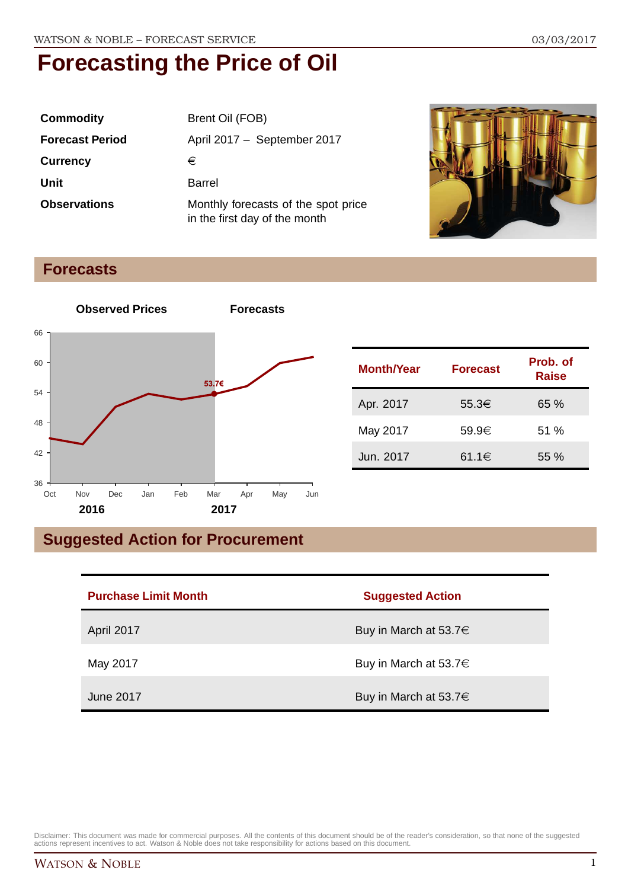| <b>Commodity</b>       | Brent Oil (FOB)                                                      |
|------------------------|----------------------------------------------------------------------|
| <b>Forecast Period</b> | April 2017 - September 2017                                          |
| <b>Currency</b>        | €                                                                    |
| Unit                   | Barrel                                                               |
| <b>Observations</b>    | Monthly forecasts of the spot price<br>in the first day of the month |



#### **Forecasts**



| <b>Month/Year</b> | <b>Forecast</b> | Prob. of<br><b>Raise</b> |
|-------------------|-----------------|--------------------------|
| Apr. 2017         | 55.3€           | 65%                      |
| May 2017          | 59.9€           | 51%                      |
| Jun. 2017         | 61.1€           | $55\%$                   |

### **Suggested Action for Procurement**

| <b>Purchase Limit Month</b> | <b>Suggested Action</b>    |
|-----------------------------|----------------------------|
| April 2017                  | Buy in March at 53.7 $\in$ |
| May 2017                    | Buy in March at 53.7 $\in$ |
| June 2017                   | Buy in March at 53.7 $\in$ |

Disclaimer: This document was made for commercial purposes. All the contents of this document should be of the reader's consideration, so that none of the suggested<br>actions represent incentives to act. Watson & Noble does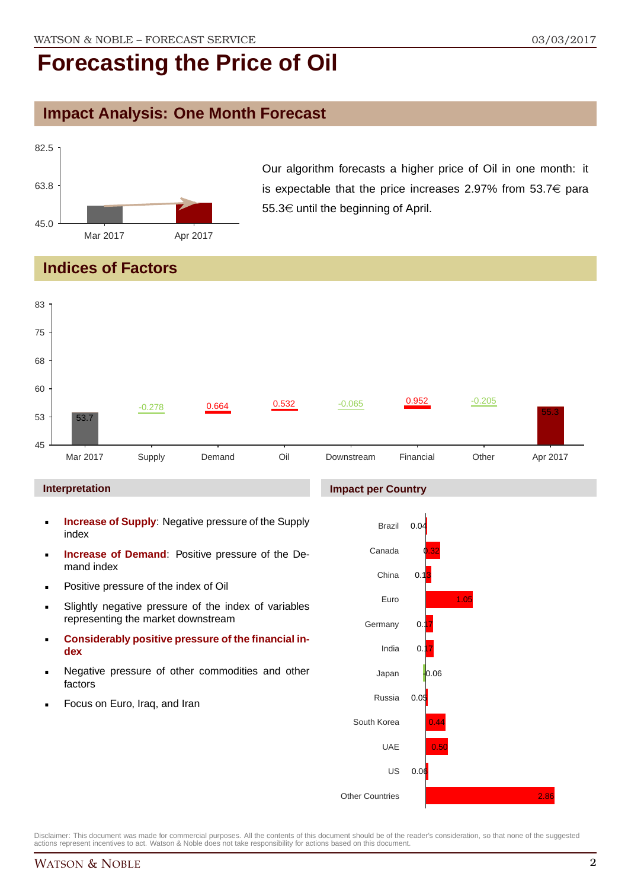### **Impact Analysis: One Month Forecast**



Our algorithm forecasts a higher price of Oil in one month: it is expectable that the price increases 2.97% from 53.7 $\in$  para 55.3 $\in$  until the beginning of April.

#### **Indices of Factors**



- **Increase of Supply:** Negative pressure of the Supply index
- **Increase of Demand**: Positive pressure of the Demand index
- **Positive pressure of the index of Oil**
- Slightly negative pressure of the index of variables representing the market downstream
- **Considerably positive pressure of the financial index**
- Negative pressure of other commodities and other factors
- Focus on Euro, Iraq, and Iran

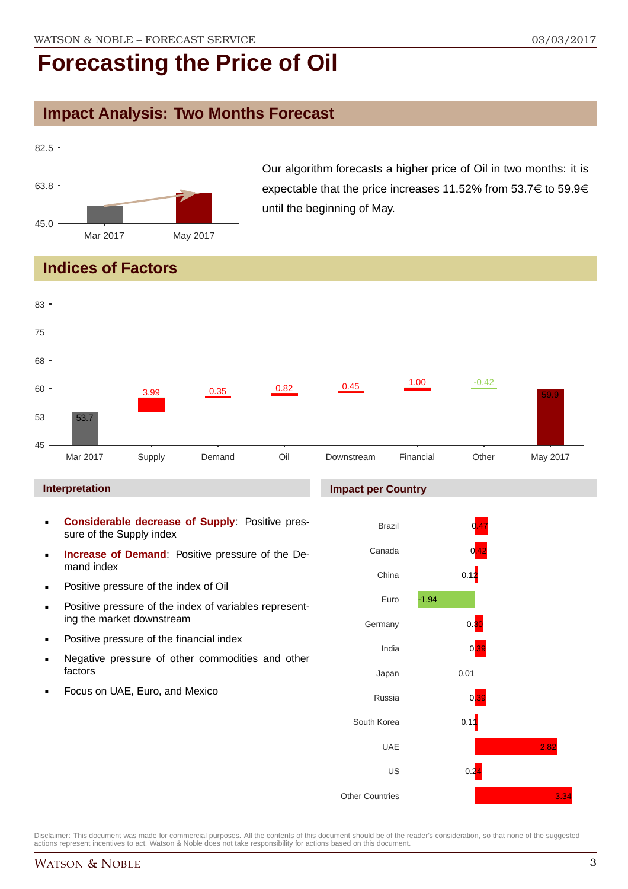#### **Impact Analysis: Two Months Forecast**



Our algorithm forecasts a higher price of Oil in two months: it is expectable that the price increases 11.52% from 53.7 $\in$  to 59.9 $\in$ until the beginning of May.

#### **Indices of Factors**



Disclaimer: This document was made for commercial purposes. All the contents of this document should be of the reader's consideration, so that none of the suggested actions represent incentives to act. Watson & Noble does not take responsibility for actions based on this document.

US

 $0.2$ 

Other Countries

3.34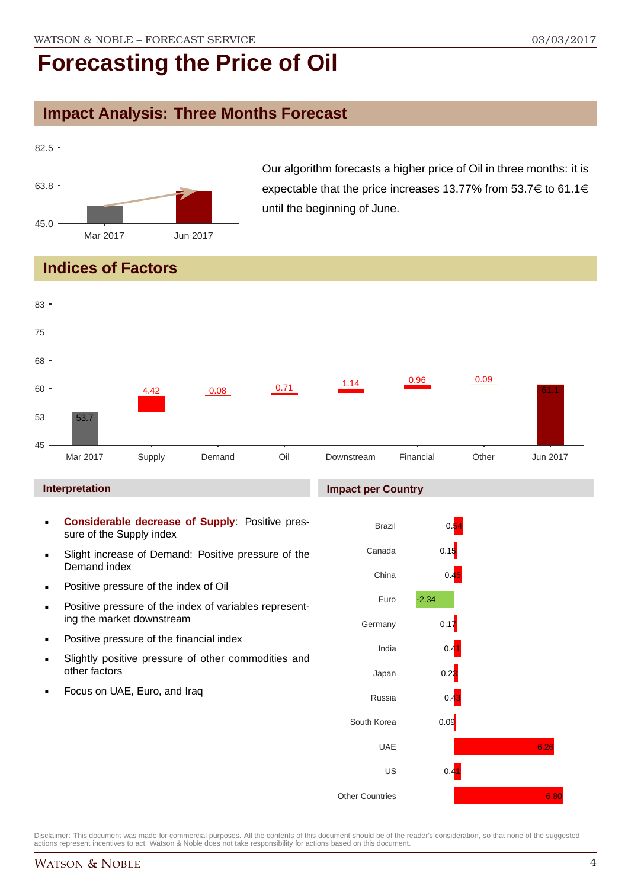### **Impact Analysis: Three Months Forecast**



Our algorithm forecasts a higher price of Oil in three months: it is expectable that the price increases 13.77% from 53.7 $\in$  to 61.1 $\in$ until the beginning of June.

#### **Indices of Factors**

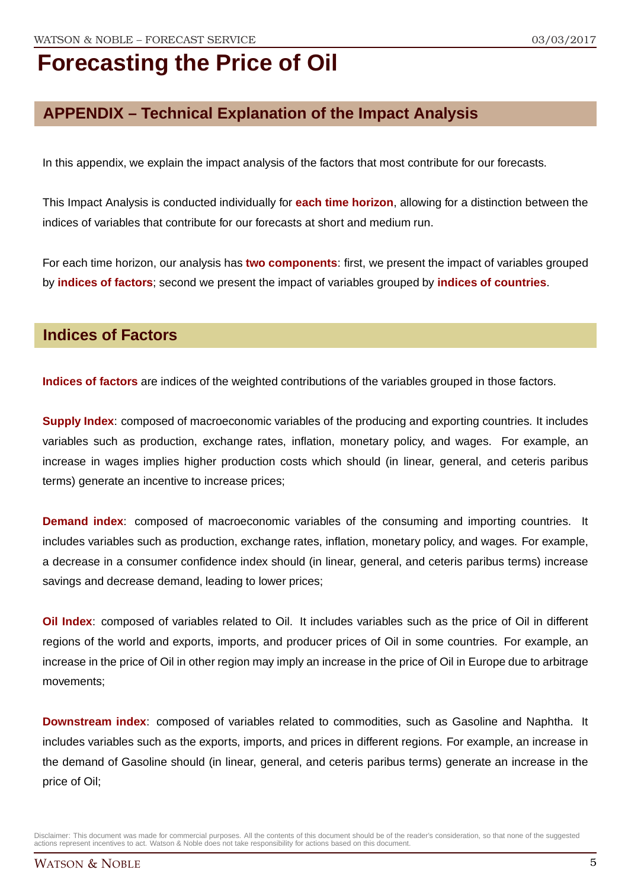### **APPENDIX – Technical Explanation of the Impact Analysis**

In this appendix, we explain the impact analysis of the factors that most contribute for our forecasts.

This Impact Analysis is conducted individually for **each time horizon**, allowing for a distinction between the indices of variables that contribute for our forecasts at short and medium run.

For each time horizon, our analysis has **two components**: first, we present the impact of variables grouped by **indices of factors**; second we present the impact of variables grouped by **indices of countries**.

#### **Indices of Factors**

**Indices of factors** are indices of the weighted contributions of the variables grouped in those factors.

**Supply Index**: composed of macroeconomic variables of the producing and exporting countries. It includes variables such as production, exchange rates, inflation, monetary policy, and wages. For example, an increase in wages implies higher production costs which should (in linear, general, and ceteris paribus terms) generate an incentive to increase prices;

**Demand index**: composed of macroeconomic variables of the consuming and importing countries. It includes variables such as production, exchange rates, inflation, monetary policy, and wages. For example, a decrease in a consumer confidence index should (in linear, general, and ceteris paribus terms) increase savings and decrease demand, leading to lower prices;

**Oil Index**: composed of variables related to Oil. It includes variables such as the price of Oil in different regions of the world and exports, imports, and producer prices of Oil in some countries. For example, an increase in the price of Oil in other region may imply an increase in the price of Oil in Europe due to arbitrage movements;

**Downstream index**: composed of variables related to commodities, such as Gasoline and Naphtha. It includes variables such as the exports, imports, and prices in different regions. For example, an increase in the demand of Gasoline should (in linear, general, and ceteris paribus terms) generate an increase in the price of Oil;